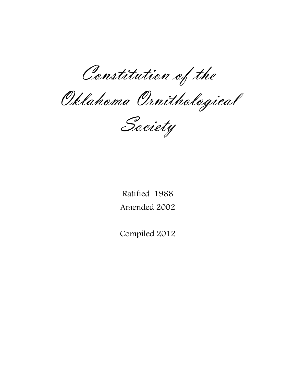Constitution of the

Oklahoma Ornithological

Society

Ratified 1988 Amended 2002

Compiled 2012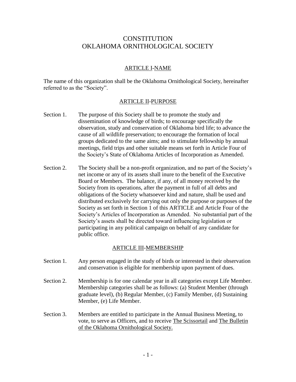# **CONSTITUTION** OKLAHOMA ORNITHOLOGICAL SOCIETY

### ARTICLE I-NAME

The name of this organization shall be the Oklahoma Ornithological Society, hereinafter referred to as the "Society".

#### ARTICLE II-PURPOSE

- Section 1. The purpose of this Society shall be to promote the study and dissemination of knowledge of birds; to encourage specifically the observation, study and conservation of Oklahoma bird life; to advance the cause of all wildlife preservation; to encourage the formation of local groups dedicated to the same aims; and to stimulate fellowship by annual meetings, field trips and other suitable means set forth in Article Four of the Society's State of Oklahoma Articles of Incorporation as Amended.
- Section 2. The Society shall be a non-profit organization, and no part of the Society's net income or any of its assets shall inure to the benefit of the Executive Board or Members. The balance, if any, of all money received by the Society from its operations, after the payment in full of all debts and obligations of the Society whatsoever kind and nature, shall be used and distributed exclusively for carrying out only the purpose or purposes of the Society as set forth in Section 1 of this ARTICLE and Article Four of the Society's Articles of Incorporation as Amended. No substantial part of the Society's assets shall be directed toward influencing legislation or participating in any political campaign on behalf of any candidate for public office.

#### ARTICLE III-MEMBERSHIP

- Section 1. Any person engaged in the study of birds or interested in their observation and conservation is eligible for membership upon payment of dues.
- Section 2. Membership is for one calendar year in all categories except Life Member. Membership categories shall be as follows: (a) Student Member (through graduate level), (b) Regular Member, (c) Family Member, (d) Sustaining Member, (e) Life Member.
- Section 3. Members are entitled to participate in the Annual Business Meeting, to vote, to serve as Officers, and to receive The Scissortail and The Bulletin of the Oklahoma Ornithological Society.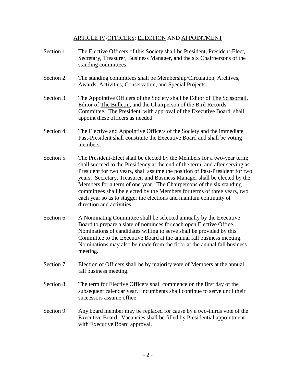#### ARTICLE IV-OFFICERS; ELECTION AND APPOINTMENT

- Section 1. The Elective Officers of this Society shall be President, President-Elect, Secretary, Treasurer, Business Manager, and the six Chairpersons of the standing committees.
- Section 2. The standing committees shall be Membership/Circulation, Archives, Awards, Activities, Conservation, and Special Projects.
- Section 3. The Appointive Officers of the Society shall be Editor of The Scissortail, Editor of The Bulletin, and the Chairperson of the Bird Records Committee. The President, with approval of the Executive Board, shall appoint these officers as needed.
- Section 4. The Elective and Appointive Officers of the Society and the immediate Past-President shall constitute the Executive Board and shall be voting members.
- Section 5. The President-Elect shall be elected by the Members for a two-year term; shall succeed to the Presidency at the end of the term; and after serving as President for two years, shall assume the position of Past-President for two years. Secretary, Treasurer, and Business Manager shall be elected by the Members for a term of one year. The Chairpersons of the six standing committees shall be elected by the Members for terms of three years, two each year so as to stagger the elections and maintain continuity of direction and activities.
- Section 6. A Nominating Committee shall be selected annually by the Executive Board to prepare a slate of nominees for each open Elective Office. Nominations of candidates willing to serve shall be provided by this Committee to the Executive Board at the annual fall business meeting. Nominations may also be made from the floor at the annual fall business meeting.
- Section 7. Election of Officers shall be by majority vote of Members at the annual fall business meeting.
- Section 8. The term for Elective Officers shall commence on the first day of the subsequent calendar year. Incumbents shall continue to serve until their successors assume office.
- Section 9. Any board member may be replaced for cause by a two-thirds vote of the Executive Board. Vacancies shall be filled by Presidential appointment with Executive Board approval.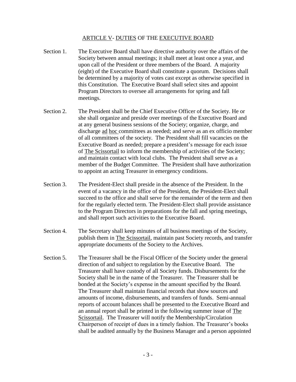#### ARTICLE V- DUTIES OF THE EXECUTIVE BOARD

- Section 1. The Executive Board shall have directive authority over the affairs of the Society between annual meetings; it shall meet at least once a year, and upon call of the President or three members of the Board. A majority (eight) of the Executive Board shall constitute a quorum. Decisions shall be determined by a majority of votes cast except as otherwise specified in this Constitution. The Executive Board shall select sites and appoint Program Directors to oversee all arrangements for spring and fall meetings.
- Section 2. The President shall be the Chief Executive Officer of the Society. He or she shall organize and preside over meetings of the Executive Board and at any general business sessions of the Society; organize, charge, and discharge ad hoc committees as needed; and serve as an ex officio member of all committees of the society. The President shall fill vacancies on the Executive Board as needed; prepare a president's message for each issue of The Scissortail to inform the membership of activities of the Society; and maintain contact with local clubs. The President shall serve as a member of the Budget Committee. The President shall have authorization to appoint an acting Treasurer in emergency conditions.
- Section 3. The President-Elect shall preside in the absence of the President. In the event of a vacancy in the office of the President, the President-Elect shall succeed to the office and shall serve for the remainder of the term and then for the regularly elected term. The President-Elect shall provide assistance to the Program Directors in preparations for the fall and spring meetings, and shall report such activities to the Executive Board.
- Section 4. The Secretary shall keep minutes of all business meetings of the Society, publish them in The Scissortail, maintain past Society records, and transfer appropriate documents of the Society to the Archives.
- Section 5. The Treasurer shall be the Fiscal Officer of the Society under the general direction of and subject to regulation by the Executive Board. The Treasurer shall have custody of all Society funds. Disbursements for the Society shall be in the name of the Treasurer. The Treasurer shall be bonded at the Society's expense in the amount specified by the Board. The Treasurer shall maintain financial records that show sources and amounts of income, disbursements, and transfers of funds. Semi-annual reports of account balances shall be presented to the Executive Board and an annual report shall be printed in the following summer issue of The Scissortail. The Treasurer will notify the Membership/Circulation Chairperson of receipt of dues in a timely fashion. The Treasurer's books shall be audited annually by the Business Manager and a person appointed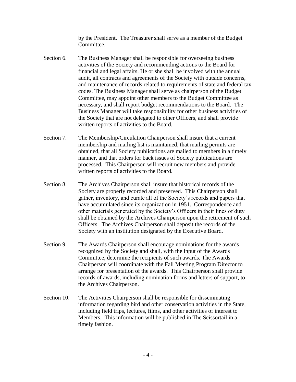by the President. The Treasurer shall serve as a member of the Budget Committee.

- Section 6. The Business Manager shall be responsible for overseeing business activities of the Society and recommending actions to the Board for financial and legal affairs. He or she shall be involved with the annual audit, all contracts and agreements of the Society with outside concerns, and maintenance of records related to requirements of state and federal tax codes. The Business Manager shall serve as chairperson of the Budget Committee, may appoint other members to the Budget Committee as necessary, and shall report budget recommendations to the Board. The Business Manager will take responsibility for other business activities of the Society that are not delegated to other Officers, and shall provide written reports of activities to the Board.
- Section 7. The Membership/Circulation Chairperson shall insure that a current membership and mailing list is maintained, that mailing permits are obtained, that all Society publications are mailed to members in a timely manner, and that orders for back issues of Society publications are processed. This Chairperson will recruit new members and provide written reports of activities to the Board.
- Section 8. The Archives Chairperson shall insure that historical records of the Society are properly recorded and preserved. This Chairperson shall gather, inventory, and curate all of the Society's records and papers that have accumulated since its organization in 1951. Correspondence and other materials generated by the Society's Officers in their lines of duty shall be obtained by the Archives Chairperson upon the retirement of such Officers. The Archives Chairperson shall deposit the records of the Society with an institution designated by the Executive Board.
- Section 9. The Awards Chairperson shall encourage nominations for the awards recognized by the Society and shall, with the input of the Awards Committee, determine the recipients of such awards. The Awards Chairperson will coordinate with the Fall Meeting Program Director to arrange for presentation of the awards. This Chairperson shall provide records of awards, including nomination forms and letters of support, to the Archives Chairperson.
- Section 10. The Activities Chairperson shall be responsible for disseminating information regarding bird and other conservation activities in the State, including field trips, lectures, films, and other activities of interest to Members. This information will be published in The Scissortail in a timely fashion.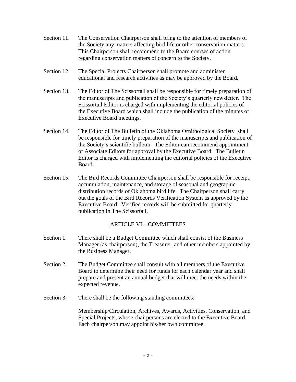- Section 11. The Conservation Chairperson shall bring to the attention of members of the Society any matters affecting bird life or other conservation matters. This Chairperson shall recommend to the Board courses of action regarding conservation matters of concern to the Society.
- Section 12. The Special Projects Chairperson shall promote and administer educational and research activities as may be approved by the Board.
- Section 13. The Editor of The Scissortail shall be responsible for timely preparation of the manuscripts and publication of the Society's quarterly newsletter. The Scissortail Editor is charged with implementing the editorial policies of the Executive Board which shall include the publication of the minutes of Executive Board meetings.
- Section 14. The Editor of The Bulletin of the Oklahoma Ornithological Society shall be responsible for timely preparation of the manuscripts and publication of the Society's scientific bulletin. The Editor can recommend appointment of Associate Editors for approval by the Executive Board. The Bulletin Editor is charged with implementing the editorial policies of the Executive Board.
- Section 15. The Bird Records Committee Chairperson shall be responsible for receipt, accumulation, maintenance, and storage of seasonal and geographic distribution records of Oklahoma bird life. The Chairperson shall carry out the goals of the Bird Records Verification System as approved by the Executive Board. Verified records will be submitted for quarterly publication in The Scissortail.

### ARTICLE VI – COMMITTEES

- Section 1. There shall be a Budget Committee which shall consist of the Business Manager (as chairperson), the Treasurer, and other members appointed by the Business Manager.
- Section 2. The Budget Committee shall consult with all members of the Executive Board to determine their need for funds for each calendar year and shall prepare and present an annual budget that will meet the needs within the expected revenue.
- Section 3. There shall be the following standing committees:

Membership/Circulation, Archives, Awards, Activities, Conservation, and Special Projects, whose chairpersons are elected to the Executive Board. Each chairperson may appoint his/her own committee.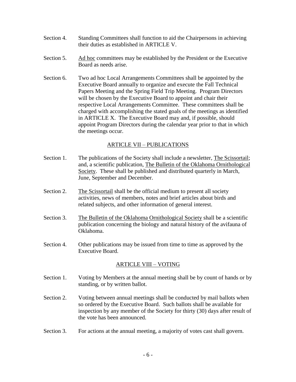- Section 4. Standing Committees shall function to aid the Chairpersons in achieving their duties as established in ARTICLE V.
- Section 5. Ad hoc committees may be established by the President or the Executive Board as needs arise.
- Section 6. Two ad hoc Local Arrangements Committees shall be appointed by the Executive Board annually to organize and execute the Fall Technical Papers Meeting and the Spring Field Trip Meeting. Program Directors will be chosen by the Executive Board to appoint and chair their respective Local Arrangements Committee. These committees shall be charged with accomplishing the stated goals of the meetings as identified in ARTICLE X. The Executive Board may and, if possible, should appoint Program Directors during the calendar year prior to that in which the meetings occur.

### ARTICLE VII – PUBLICATIONS

- Section 1. The publications of the Society shall include a newsletter, The Scissortail; and, a scientific publication, The Bulletin of the Oklahoma Ornithological Society. These shall be published and distributed quarterly in March, June, September and December.
- Section 2. The Scissortail shall be the official medium to present all society activities, news of members, notes and brief articles about birds and related subjects, and other information of general interest.
- Section 3. The Bulletin of the Oklahoma Ornithological Society shall be a scientific publication concerning the biology and natural history of the avifauna of Oklahoma.
- Section 4. Other publications may be issued from time to time as approved by the Executive Board.

#### ARTICLE VIII – VOTING

- Section 1. Voting by Members at the annual meeting shall be by count of hands or by standing, or by written ballot.
- Section 2. Voting between annual meetings shall be conducted by mail ballots when so ordered by the Executive Board. Such ballots shall be available for inspection by any member of the Society for thirty (30) days after result of the vote has been announced.
- Section 3. For actions at the annual meeting, a majority of votes cast shall govern.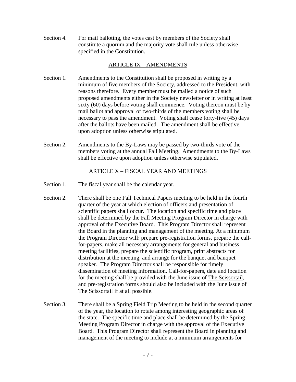Section 4. For mail balloting, the votes cast by members of the Society shall constitute a quorum and the majority vote shall rule unless otherwise specified in the Constitution.

### ARTICLE IX – AMENDMENTS

- Section 1. Amendments to the Constitution shall be proposed in writing by a minimum of five members of the Society, addressed to the President, with reasons therefore. Every member must be mailed a notice of such proposed amendments either in the Society newsletter or in writing at least sixty (60) days before voting shall commence. Voting thereon must be by mail ballot and approval of two-thirds of the members voting shall be necessary to pass the amendment. Voting shall cease forty-five (45) days after the ballots have been mailed. The amendment shall be effective upon adoption unless otherwise stipulated.
- Section 2. Amendments to the By-Laws may be passed by two-thirds vote of the members voting at the annual Fall Meeting. Amendments to the By-Laws shall be effective upon adoption unless otherwise stipulated.

### ARTICLE X – FISCAL YEAR AND MEETINGS

- Section 1. The fiscal year shall be the calendar year.
- Section 2. There shall be one Fall Technical Papers meeting to be held in the fourth quarter of the year at which election of officers and presentation of scientific papers shall occur. The location and specific time and place shall be determined by the Fall Meeting Program Director in charge with approval of the Executive Board. This Program Director shall represent the Board in the planning and management of the meeting. At a minimum the Program Director will: prepare pre-registration forms, prepare the callfor-papers, make all necessary arrangements for general and business meeting facilities, prepare the scientific program, print abstracts for distribution at the meeting, and arrange for the banquet and banquet speaker. The Program Director shall be responsible for timely dissemination of meeting information. Call-for-papers, date and location for the meeting shall be provided with the June issue of The Scissortail, and pre-registration forms should also be included with the June issue of The Scissortail if at all possible.
- Section 3. There shall be a Spring Field Trip Meeting to be held in the second quarter of the year, the location to rotate among interesting geographic areas of the state. The specific time and place shall be determined by the Spring Meeting Program Director in charge with the approval of the Executive Board. This Program Director shall represent the Board in planning and management of the meeting to include at a minimum arrangements for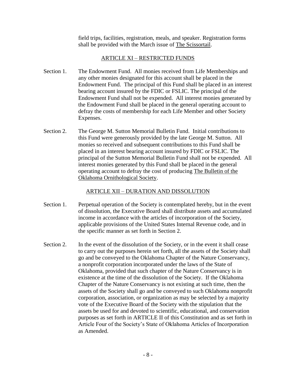field trips, facilities, registration, meals, and speaker. Registration forms shall be provided with the March issue of The Scissortail.

### ARTICLE XI – RESTRICTED FUNDS

- Section 1. The Endowment Fund. All monies received from Life Memberships and any other monies designated for this account shall be placed in the Endowment Fund. The principal of this Fund shall be placed in an interest bearing account insured by the FDIC or FSLIC. The principal of the Endowment Fund shall not be expended. All interest monies generated by the Endowment Fund shall be placed in the general operating account to defray the costs of membership for each Life Member and other Society Expenses.
- Section 2. The George M. Sutton Memorial Bulletin Fund. Initial contributions to this Fund were generously provided by the late George M. Sutton. All monies so received and subsequent contributions to this Fund shall be placed in an interest bearing account insured by FDIC or FSLIC. The principal of the Sutton Memorial Bulletin Fund shall not be expended. All interest monies generated by this Fund shall be placed in the general operating account to defray the cost of producing The Bulletin of the Oklahoma Ornithological Society.

### ARTICLE XII – DURATION AND DISSOLUTION

- Section 1. Perpetual operation of the Society is contemplated hereby, but in the event of dissolution, the Executive Board shall distribute assets and accumulated income in accordance with the articles of incorporation of the Society, applicable provisions of the United States Internal Revenue code, and in the specific manner as set forth in Section 2.
- Section 2. In the event of the dissolution of the Society, or in the event it shall cease to carry out the purposes herein set forth, all the assets of the Society shall go and be conveyed to the Oklahoma Chapter of the Nature Conservancy, a nonprofit corporation incorporated under the laws of the State of Oklahoma, provided that such chapter of the Nature Conservancy is in existence at the time of the dissolution of the Society. If the Oklahoma Chapter of the Nature Conservancy is not existing at such time, then the assets of the Society shall go and be conveyed to such Oklahoma nonprofit corporation, association, or organization as may be selected by a majority vote of the Executive Board of the Society with the stipulation that the assets be used for and devoted to scientific, educational, and conservation purposes as set forth in ARTICLE II of this Constitution and as set forth in Article Four of the Society's State of Oklahoma Articles of Incorporation as Amended.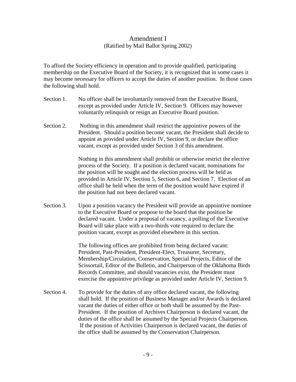## Amendment I (Ratified by Mail Ballot Spring 2002)

To afford the Society efficiency in operation and to provide qualified, participating membership on the Executive Board of the Society, it is recognized that in some cases it may become necessary for officers to accept the duties of another position. In those cases the following shall hold.

- Section 1. No officer shall be involuntarily removed from the Executive Board, except as provided under Article IV, Section 9. Officers may however voluntarily relinquish or resign an Executive Board position.
- Section 2. Nothing in this amendment shall restrict the appointive powers of the President. Should a position become vacant, the President shall decide to appoint as provided under Article IV, Section 9, or declare the office vacant, except as provided under Section 3 of this amendment.

Nothing in this amendment shall prohibit or otherwise restrict the elective process of the Society. If a position is declared vacant, nominations for the position will be sought and the election process will be held as provided in Article IV, Section 5, Section 6, and Section 7. Election of an office shall be held when the term of the position would have expired if the position had not been declared vacant.

Section 3. Upon a position vacancy the President will provide an appointive nominee to the Executive Board or propose to the board that the position be declared vacant. Under a proposal of vacancy, a polling of the Executive Board will take place with a two-thirds vote required to declare the position vacant, except as provided elsewhere in this section.

> The following offices are prohibited from being declared vacant: President, Past-President, President-Elect, Treasurer, Secretary, Membership/Circulation, Conservation, Special Projects, Editor of the Scissortail, Editor of the Bulletin, and Chairperson of the Oklahoma Birds Records Committee, and should vacancies exist, the President must exercise the appointive privilege as provided under Article IV, Section 9.

Section 4. To provide for the duties of any office declared vacant, the following shall hold. If the position of Business Manager and/or Awards is declared vacant the duties of either office or both shall be assumed by the Past-President. If the position of Archives Chairperson is declared vacant, the duties of the office shall be assumed by the Special Projects Chairperson. If the position of Activities Chairperson is declared vacant, the duties of the office shall be assumed by the Conservation Chairperson.